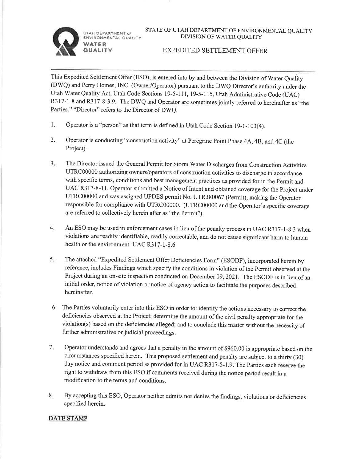UTAH DEPARTMENT of ENVIRONMENTAL QUALITY WATER

QUALITY



#### EXPEDITED SETTLEMENT OFFER

This Expedited Settlement Offer (ESO), is entered into by and between the Division of Water Quality (DWQ) and Perry Homes, INC. (Owner/Operator) pursuant to the DWQ Director's authority under the Utah Water Quality Act, Utah Code Sections l9-5-111, l9-5-l15, Utah Administrative Code (UAC) R317-1-8 and R317-8-3.9. The DWQ and Operator are sometimes jointly referred to hereinafter as "the Parties." "Director" refers to the Director of DWQ.

- 1. Operator is a "person" as that term is defined in Utah Code Section 19-1-103(4).
- 2. Operator is conducting "construction activity" at Peregrine Point Phase 4A, 4B, and 4C (the Project).
- $3.$ The Director issued the General Permit for Storm Water Discharges from Construction Activities UTRC00000 authorizing owners/operators of construction activities to discharge in accordance with specific terms, conditions and best management practices as provided for in the Permit and UAC R317-8-11. Operator submitted a Notice of Intent and obtained coverage for the Project under UTRC00000 and was assigned UPDES permit No. UTR380067 (Permit), making the Operator responsible for compliance with UTRC00000. (UTRC00000 and the Operator's specific coverage are referred to collectively herein after as "the Permit").
- An ESO may be used in enforcement cases in lieu of the penalty process in UAC R317-l-8.3 when violations are readily identifiable, readily correctable, and do not cause significant harm to human health or the environment. UAC R317-l-8.6. 4.
- The attached "Expedited Settlement Offer Deficiencies Form" (ESODF), incorporated herein by reference, includes Findings which specify the conditions in violation of the Permit observed at the Project during an on-site inspection conducted on December 09,2021. The ESODF is in lieu of an initial order, notice of violation or notice of agency action to facilitate the purposes described hereinafter.  $5.$
- 6. The Parties voluntarily enter into this ESO in order to: identify the actions necessary to correct the deficiencies observed at the Project; determine the amount of the civil penalty appropriate for the violation(s) based on the deficiencies alleged; and to conclude this matter without the necessity of further administrative or judicial proceedings.
- Operator understands and agrees that a penalty in the amount of \$960.00 is appropriate based on the circumstances specified herein. This proposed settlement and penalty are subject to a thirfy (30) day notice and comment period as provided for in UAC R317-8-1.9. The Parties each reserve the right to withdraw from this ESO if comments received during the notice period result in <sup>a</sup> modification to the terms and conditions.  $7.$
- 8. By accepting this ESO, Operator neither admits nor denies the findings, violations or deficiencies specified herein.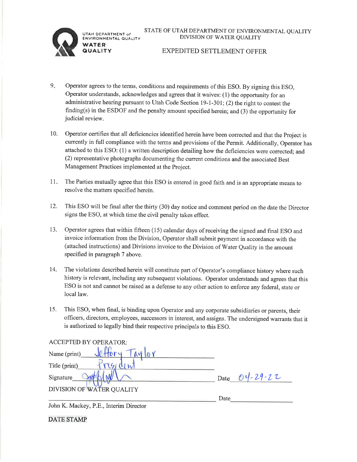**TAH DEPARTMENT of** INVIRONMENTAL QUALITY **NATER** 



### **EXPEDITED SETTLEMENT OFFER**

- $9.5$ Operator agrees to the terms, conditions and requirements of this ESO. By signing this ESO, Operator understands, acknowledges and agrees that it waives: (1) the opportunity for an administrative hearing pursuant to Utah Code Section 19-1-301; (2) the right to contest the finding(s) in the ESDOF and the penalty amount specified herein; and  $(3)$  the opportunity for judicial review.
- Operator certifies that all deficiencies identified herein have been corrected and that the Project is 10. currently in full compliance with the terms and provisions of the Permit. Additionally, Operator has attached to this ESO: (1) a written description detailing how the deficiencies were corrected; and (2) representative photographs documenting the current conditions and the associated Best Management Practices implemented at the Project.
- The Parties mutually agree that this ESO is entered in good faith and is an appropriate means to  $11<sub>ii</sub>$ resolve the matters specified herein.
- This ESO will be final after the thirty (30) day notice and comment period on the date the Director 12. signs the ESO, at which time the civil penalty takes effect.
- 13. Operator agrees that within fifteen (15) calendar days of receiving the signed and final ESO and invoice information from the Division, Operator shall submit payment in accordance with the (attached instructions) and Divisions invoice to the Division of Water Quality in the amount specified in paragraph 7 above.
- The violations described herein will constitute part of Operator's compliance history where such 14. history is relevant, including any subsequent violations. Operator understands and agrees that this ESO is not and cannot be raised as a defense to any other action to enforce any federal, state or local law.
- 15. This ESO, when final, is binding upon Operator and any corporate subsidiaries or parents, their officers, directors, employees, successors in interest, and assigns. The undersigned warrants that it is authorized to legally bind their respective principals to this ESO.

| <b>ACCEPTED BY OPERATOR:</b> |                       |
|------------------------------|-----------------------|
| Name (print)                 |                       |
| Title (print)                |                       |
| Signature                    | $4 - 29 - 22$<br>Date |
| DIVISION OF WATER QUALITY    |                       |
|                              | Date                  |

John K. Mackey, P.E., Interim Director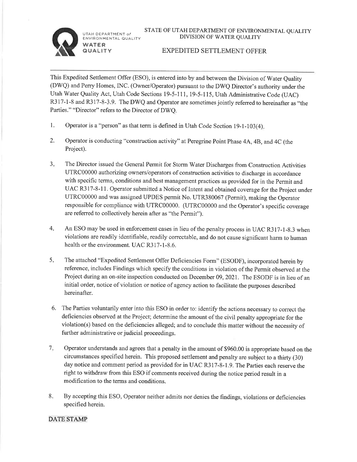$JTAH$  DEPARTMENT of ENVIRONMENTAL QUALITY **WATER** 

**QUALITY** 



### EXPEDITED SETTLEMENT OFFER

This Expedited Settlement Offer (ESO), is entered into by and between the Division of Water Quality (DWO and Perry Homes, INC. (Owner/Operator) pursuant to the DWQ Director's authority under the Utah Water Quality Act, Utah Code Sections 19-5-111, 19-5-115, Utah Administrative Code (UAC) R317-1-8 and R317-8-3.9. The DWQ and Operator are sometimes jointly referred to hereinafter as "the Parties." "Director" refers to the Director of DWQ.

- 1. Operator is a "person" as that term is defined in Utah Code Section 19-1-103(4).
- 2. Operator is conducting "construction activity" at Peregrine Point Phase 4A, 4B, and 4C (the Project).
- $3<sub>1</sub>$ The Director issued the General Permit for Storm Water Discharges from Construction Activities UTRC00000 authorizing owners/operators of construction activities to discharge in accordance with specific terms, conditions and best management practices as provided for in the Permit and UAC R317-8-11. Operator submitted a Notice of Intent and obtained coverage for the Project under UTRC00000 and was assigned UPDES permit No. UTR380067 (Permit), making the Operator responsible for compliance with UTRC00000. (UTRC00000 and the Operator's specific coverage are referred to collectively herein after as "the Permit").
- An ESO may be used in enforcement cases in lieu of the penalty process in UAC R317-1-8.3 when violations are readily identifiable, readily correctable, and do not cause significant harm to human health or the environment. UAC R317-1-8.6. 4
- The attached "Expedited Settlement Offer Deficiencies Form" (ESODF), incorporated herein by reference, includes Findings which specify the conditions in violation of the Permit observed at the Project during an on-site inspection conducted on December 09,2021. The ESODF is in lieu of an initial order, notice of violation or notice of agency action to facilitate the purposes described hereinafter.  $5<sub>1</sub>$
- 6. The Parties voluntarily enter into this ESO in order to: identify the actions necessary to correct the deficiencies observed at the Project; determine the amount of the civil penalty appropriate for the violation(s) based on the deficiencies alleged; and to conclude this matter without the necessity of further administrative or judicial proceedings.
- Operator understands and agrees that a penalty in the amount of \$960.00 is appropriate based on the circumstances specified herein. This proposed settlement and penalty are subject to a thirty (30) day notice and comment period as provided for in UAC R3 17-8- I .9. The Parties each reserve the right to withdraw from this ESO if comments received during the notice period result in <sup>a</sup> modification to the terms and conditions.  $7.$
- 8. By accepting this ESO, Operator neither admits nor denies the findings, violations or deficiencies specified herein.